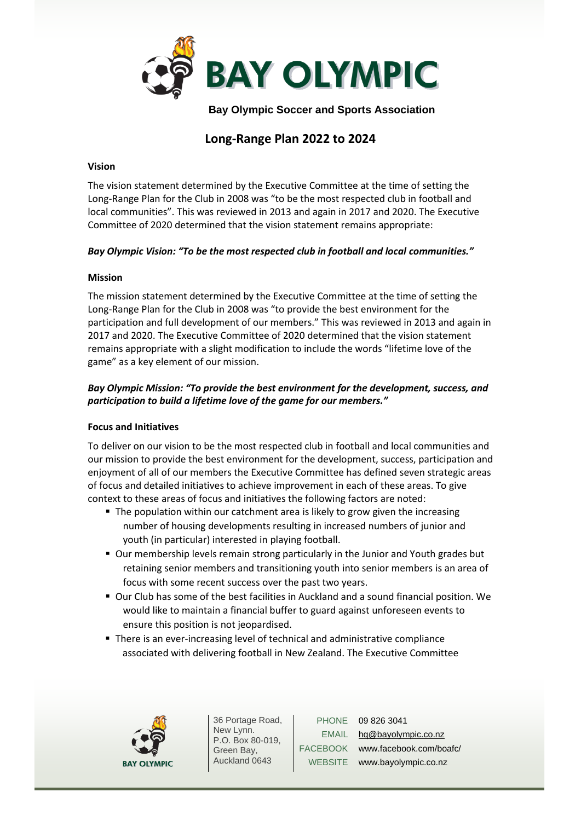

 **Bay Olympic Soccer and Sports Association**

# **Long-Range Plan 2022 to 2024**

### **Vision**

The vision statement determined by the Executive Committee at the time of setting the Long-Range Plan for the Club in 2008 was "to be the most respected club in football and local communities". This was reviewed in 2013 and again in 2017 and 2020. The Executive Committee of 2020 determined that the vision statement remains appropriate:

# *Bay Olympic Vision: "To be the most respected club in football and local communities."*

### **Mission**

The mission statement determined by the Executive Committee at the time of setting the Long-Range Plan for the Club in 2008 was "to provide the best environment for the participation and full development of our members." This was reviewed in 2013 and again in 2017 and 2020. The Executive Committee of 2020 determined that the vision statement remains appropriate with a slight modification to include the words "lifetime love of the game" as a key element of our mission.

# *Bay Olympic Mission: "To provide the best environment for the development, success, and participation to build a lifetime love of the game for our members."*

### **Focus and Initiatives**

To deliver on our vision to be the most respected club in football and local communities and our mission to provide the best environment for the development, success, participation and enjoyment of all of our members the Executive Committee has defined seven strategic areas of focus and detailed initiatives to achieve improvement in each of these areas. To give context to these areas of focus and initiatives the following factors are noted:

- The population within our catchment area is likely to grow given the increasing number of housing developments resulting in increased numbers of junior and youth (in particular) interested in playing football.
- Our membership levels remain strong particularly in the Junior and Youth grades but retaining senior members and transitioning youth into senior members is an area of focus with some recent success over the past two years.
- Our Club has some of the best facilities in Auckland and a sound financial position. We would like to maintain a financial buffer to guard against unforeseen events to ensure this position is not jeopardised.
- There is an ever-increasing level of technical and administrative compliance associated with delivering football in New Zealand. The Executive Committee



36 Portage Road, New Lynn. P.O. Box 80-019, Green Bay, Auckland 0643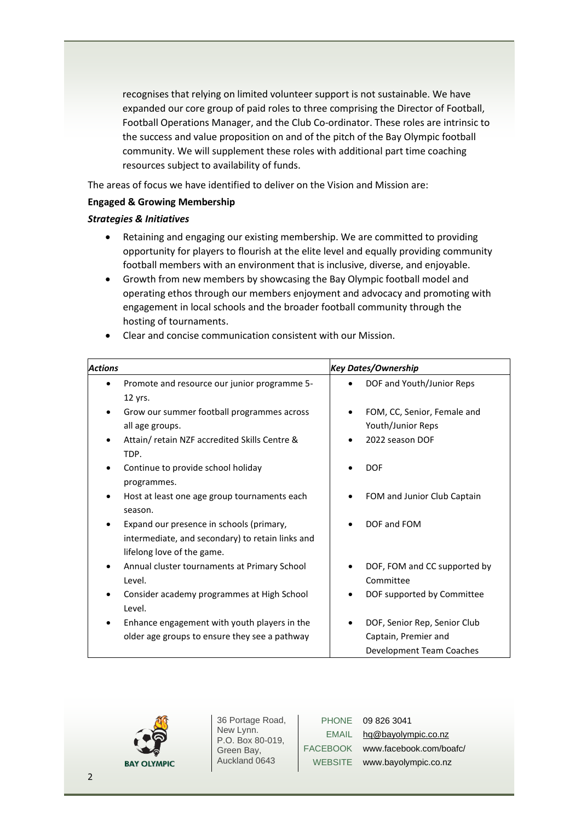recognises that relying on limited volunteer support is not sustainable. We have expanded our core group of paid roles to three comprising the Director of Football, Football Operations Manager, and the Club Co-ordinator. These roles are intrinsic to the success and value proposition on and of the pitch of the Bay Olympic football community. We will supplement these roles with additional part time coaching resources subject to availability of funds.

The areas of focus we have identified to deliver on the Vision and Mission are:

# **Engaged & Growing Membership**

# *Strategies & Initiatives*

- Retaining and engaging our existing membership. We are committed to providing opportunity for players to flourish at the elite level and equally providing community football members with an environment that is inclusive, diverse, and enjoyable.
- Growth from new members by showcasing the Bay Olympic football model and operating ethos through our members enjoyment and advocacy and promoting with engagement in local schools and the broader football community through the hosting of tournaments.

| <b>Actions</b> |                                                  | <b>Key Dates/Ownership</b>      |
|----------------|--------------------------------------------------|---------------------------------|
|                | Promote and resource our junior programme 5-     | DOF and Youth/Junior Reps       |
|                | 12 yrs.                                          |                                 |
|                | Grow our summer football programmes across       | FOM, CC, Senior, Female and     |
|                | all age groups.                                  | Youth/Junior Reps               |
|                | Attain/retain NZF accredited Skills Centre &     | 2022 season DOF                 |
|                | TDP.                                             |                                 |
|                | Continue to provide school holiday               | <b>DOF</b>                      |
|                | programmes.                                      |                                 |
|                | Host at least one age group tournaments each     | FOM and Junior Club Captain     |
|                | season.                                          |                                 |
|                | Expand our presence in schools (primary,         | DOF and FOM                     |
|                | intermediate, and secondary) to retain links and |                                 |
|                | lifelong love of the game.                       |                                 |
|                | Annual cluster tournaments at Primary School     | DOF, FOM and CC supported by    |
|                | Level.                                           | Committee                       |
|                | Consider academy programmes at High School       | DOF supported by Committee      |
|                | Level.                                           |                                 |
|                | Enhance engagement with youth players in the     | DOF, Senior Rep, Senior Club    |
|                | older age groups to ensure they see a pathway    | Captain, Premier and            |
|                |                                                  | <b>Development Team Coaches</b> |

• Clear and concise communication consistent with our Mission.



36 Portage Road, New Lynn. P.O. Box 80-019, Green Bay, Auckland 0643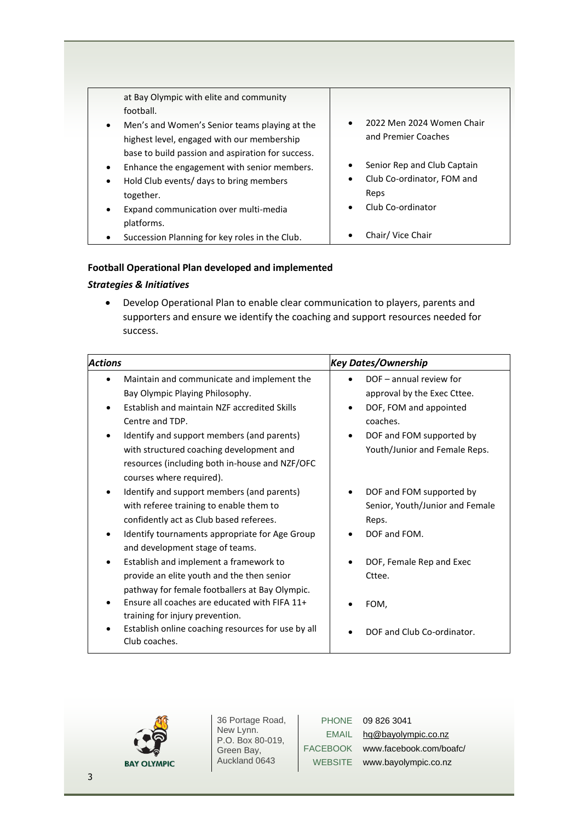| at Bay Olympic with elite and community                    |                                |
|------------------------------------------------------------|--------------------------------|
| football.                                                  |                                |
| Men's and Women's Senior teams playing at the<br>$\bullet$ | 2022 Men 2024 Women Chair      |
| highest level, engaged with our membership                 | and Premier Coaches            |
| base to build passion and aspiration for success.          |                                |
| Enhance the engagement with senior members.<br>$\bullet$   | Senior Rep and Club Captain    |
| Hold Club events/ days to bring members<br>$\bullet$       | Club Co-ordinator, FOM and     |
| together.                                                  | Reps                           |
| Expand communication over multi-media<br>$\bullet$         | Club Co-ordinator<br>$\bullet$ |
| platforms.                                                 |                                |
| Succession Planning for key roles in the Club.             | Chair/ Vice Chair              |

### **Football Operational Plan developed and implemented**

# *Strategies & Initiatives*

• Develop Operational Plan to enable clear communication to players, parents and supporters and ensure we identify the coaching and support resources needed for success.

| <b>Actions</b>                                     | <b>Key Dates/Ownership</b>      |
|----------------------------------------------------|---------------------------------|
| Maintain and communicate and implement the         | DOF - annual review for         |
| Bay Olympic Playing Philosophy.                    | approval by the Exec Cttee.     |
| Establish and maintain NZF accredited Skills       | DOF, FOM and appointed          |
| Centre and TDP.                                    | coaches.                        |
| Identify and support members (and parents)         | DOF and FOM supported by<br>٠   |
| with structured coaching development and           | Youth/Junior and Female Reps.   |
| resources (including both in-house and NZF/OFC     |                                 |
| courses where required).                           |                                 |
| Identify and support members (and parents)         | DOF and FOM supported by        |
| with referee training to enable them to            | Senior, Youth/Junior and Female |
| confidently act as Club based referees.            | Reps.                           |
| Identify tournaments appropriate for Age Group     | DOF and FOM.                    |
| and development stage of teams.                    |                                 |
| Establish and implement a framework to             | DOF, Female Rep and Exec        |
| provide an elite youth and the then senior         | Cttee.                          |
| pathway for female footballers at Bay Olympic.     |                                 |
| Ensure all coaches are educated with FIFA 11+      | FOM,                            |
| training for injury prevention.                    |                                 |
| Establish online coaching resources for use by all | DOF and Club Co-ordinator.      |
| Club coaches.                                      |                                 |



36 Portage Road, New Lynn. P.O. Box 80-019, Green Bay, Auckland 0643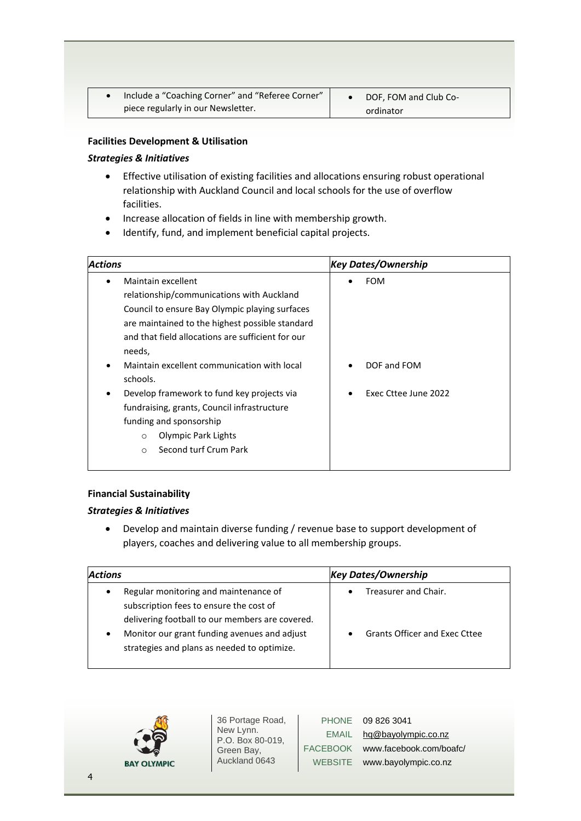| Include a "Coaching Corner" and "Referee Corner" | DOF, FOM and Club Co- |
|--------------------------------------------------|-----------------------|
| piece regularly in our Newsletter.               | ordinator             |

### **Facilities Development & Utilisation**

### *Strategies & Initiatives*

- Effective utilisation of existing facilities and allocations ensuring robust operational relationship with Auckland Council and local schools for the use of overflow facilities.
- Increase allocation of fields in line with membership growth.
- Identify, fund, and implement beneficial capital projects.

| <b>Actions</b>                                                                                                                                                                                                                                                                                                                                                                                                                                                                                | <b>Key Dates/Ownership</b>                             |  |
|-----------------------------------------------------------------------------------------------------------------------------------------------------------------------------------------------------------------------------------------------------------------------------------------------------------------------------------------------------------------------------------------------------------------------------------------------------------------------------------------------|--------------------------------------------------------|--|
| Maintain excellent<br>relationship/communications with Auckland<br>Council to ensure Bay Olympic playing surfaces<br>are maintained to the highest possible standard<br>and that field allocations are sufficient for our<br>needs,<br>Maintain excellent communication with local<br>schools.<br>Develop framework to fund key projects via<br>fundraising, grants, Council infrastructure<br>funding and sponsorship<br>Olympic Park Lights<br>$\circ$<br>Second turf Crum Park<br>$\Omega$ | <b>FOM</b><br>DOF and FOM<br>Exec Cttee June 2022<br>٠ |  |
|                                                                                                                                                                                                                                                                                                                                                                                                                                                                                               |                                                        |  |

# **Financial Sustainability**

# *Strategies & Initiatives*

• Develop and maintain diverse funding / revenue base to support development of players, coaches and delivering value to all membership groups.

| <b>Actions</b>                                                                                                                                                                                                                                               | <b>Key Dates/Ownership</b>                                                             |
|--------------------------------------------------------------------------------------------------------------------------------------------------------------------------------------------------------------------------------------------------------------|----------------------------------------------------------------------------------------|
| Regular monitoring and maintenance of<br>$\bullet$<br>subscription fees to ensure the cost of<br>delivering football to our members are covered.<br>Monitor our grant funding avenues and adjust<br>$\bullet$<br>strategies and plans as needed to optimize. | Treasurer and Chair.<br>$\bullet$<br><b>Grants Officer and Exec Cttee</b><br>$\bullet$ |



36 Portage Road, New Lynn. P.O. Box 80-019, Green Bay, Auckland 0643

| 09 8:      | <b>PHONE</b>    |
|------------|-----------------|
| hq@        | EMAIL           |
| <b>WWW</b> | <b>FACEBOOK</b> |
| <b>WWW</b> | <b>WEBSITE</b>  |
|            |                 |

26 3041 bayolympic.co.nz /.facebook.com/boafc/ /.bayolympic.co.nz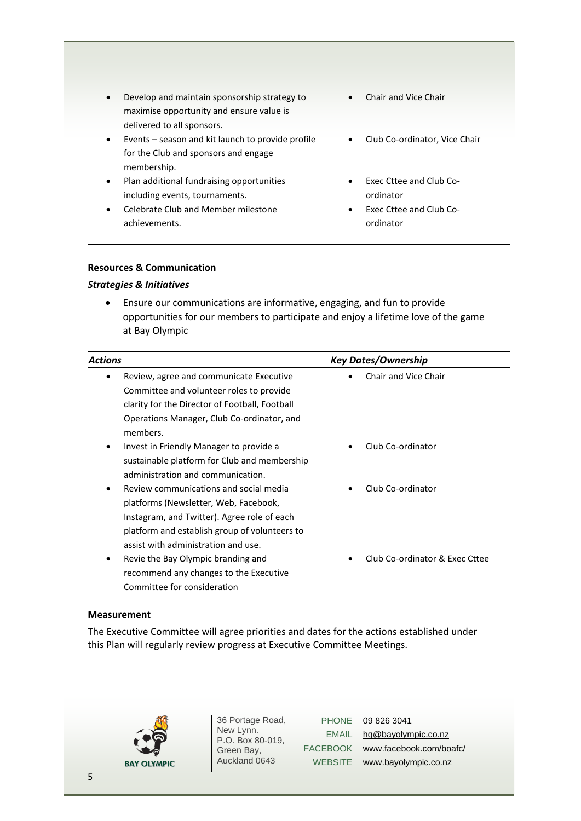| Develop and maintain sponsorship strategy to<br>maximise opportunity and ensure value is                                                                      | Chair and Vice Chair                                                                     |
|---------------------------------------------------------------------------------------------------------------------------------------------------------------|------------------------------------------------------------------------------------------|
| delivered to all sponsors.<br>Events – season and kit launch to provide profile<br>$\bullet$<br>for the Club and sponsors and engage<br>membership.           | Club Co-ordinator, Vice Chair                                                            |
| Plan additional fundraising opportunities<br>$\bullet$<br>including events, tournaments.<br>Celebrate Club and Member milestone<br>$\bullet$<br>achievements. | <b>Exec Cttee and Club Co-</b><br>ordinator<br>Exec Cttee and Club Co-<br>٠<br>ordinator |

# **Resources & Communication**

# *Strategies & Initiatives*

• Ensure our communications are informative, engaging, and fun to provide opportunities for our members to participate and enjoy a lifetime love of the game at Bay Olympic

| <b>Actions</b>                                 | <b>Key Dates/Ownership</b>     |
|------------------------------------------------|--------------------------------|
| Review, agree and communicate Executive        | Chair and Vice Chair           |
| Committee and volunteer roles to provide       |                                |
| clarity for the Director of Football, Football |                                |
| Operations Manager, Club Co-ordinator, and     |                                |
| members.                                       |                                |
| Invest in Friendly Manager to provide a<br>٠   | Club Co-ordinator              |
| sustainable platform for Club and membership   |                                |
| administration and communication.              |                                |
| Review communications and social media<br>٠    | Club Co-ordinator              |
| platforms (Newsletter, Web, Facebook,          |                                |
| Instagram, and Twitter). Agree role of each    |                                |
| platform and establish group of volunteers to  |                                |
| assist with administration and use.            |                                |
| Revie the Bay Olympic branding and             | Club Co-ordinator & Exec Cttee |
| recommend any changes to the Executive         |                                |
| Committee for consideration                    |                                |

# **Measurement**

The Executive Committee will agree priorities and dates for the actions established under this Plan will regularly review progress at Executive Committee Meetings.



36 Portage Road, New Lynn. P.O. Box 80-019, Green Bay, Auckland 0643